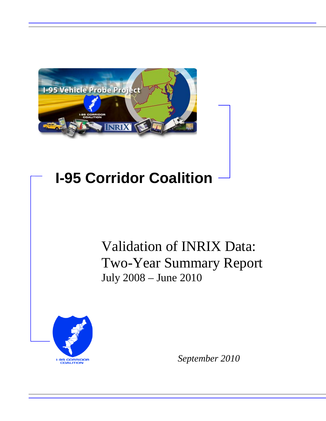

# **I-95 Corridor Coalition**

# Validation of INRIX Data: Two-Year Summary Report July 2008 – June 2010



*September 2010*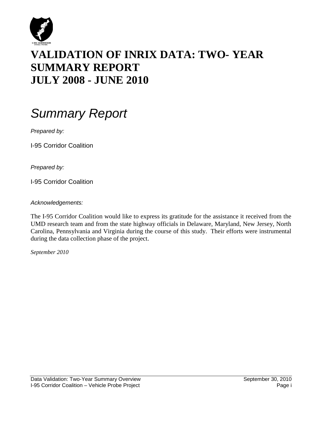

# **VALIDATION OF INRIX DATA: TWO- YEAR SUMMARY REPORT JULY 2008 - JUNE 2010**

# *Summary Report*

*Prepared by:*

I-95 Corridor Coalition

*Prepared by:*

I-95 Corridor Coalition

*Acknowledgements:*

The I-95 Corridor Coalition would like to express its gratitude for the assistance it received from the UMD research team and from the state highway officials in Delaware, Maryland, New Jersey, North Carolina, Pennsylvania and Virginia during the course of this study. Their efforts were instrumental during the data collection phase of the project.

*September 2010*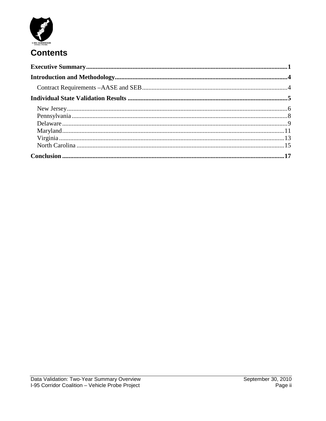

# **Contents**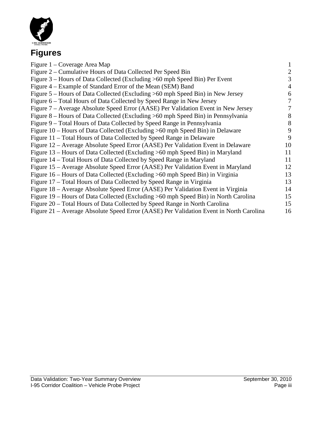

# **Figures**

| Figure 1 – Coverage Area Map                                                           |    |
|----------------------------------------------------------------------------------------|----|
| Figure 2 – Cumulative Hours of Data Collected Per Speed Bin                            | 2  |
| Figure 3 – Hours of Data Collected (Excluding >60 mph Speed Bin) Per Event             | 3  |
| Figure 4 – Example of Standard Error of the Mean (SEM) Band                            | 4  |
| Figure 5 – Hours of Data Collected (Excluding >60 mph Speed Bin) in New Jersey         | 6  |
| Figure 6 – Total Hours of Data Collected by Speed Range in New Jersey                  | 7  |
| Figure 7 – Average Absolute Speed Error (AASE) Per Validation Event in New Jersey      |    |
| Figure 8 – Hours of Data Collected (Excluding >60 mph Speed Bin) in Pennsylvania       | 8  |
| Figure 9 – Total Hours of Data Collected by Speed Range in Pennsylvania                | 8  |
| Figure 10 – Hours of Data Collected (Excluding >60 mph Speed Bin) in Delaware          | 9  |
| Figure 11 – Total Hours of Data Collected by Speed Range in Delaware                   | 9  |
| Figure 12 – Average Absolute Speed Error (AASE) Per Validation Event in Delaware       | 10 |
| Figure 13 – Hours of Data Collected (Excluding >60 mph Speed Bin) in Maryland          | 11 |
| Figure 14 – Total Hours of Data Collected by Speed Range in Maryland                   | 11 |
| Figure 15 – Average Absolute Speed Error (AASE) Per Validation Event in Maryland       | 12 |
| Figure 16 – Hours of Data Collected (Excluding >60 mph Speed Bin) in Virginia          | 13 |
| Figure 17 – Total Hours of Data Collected by Speed Range in Virginia                   | 13 |
| Figure 18 – Average Absolute Speed Error (AASE) Per Validation Event in Virginia       | 14 |
| Figure 19 – Hours of Data Collected (Excluding >60 mph Speed Bin) in North Carolina    | 15 |
| Figure 20 – Total Hours of Data Collected by Speed Range in North Carolina             | 15 |
| Figure 21 – Average Absolute Speed Error (AASE) Per Validation Event in North Carolina | 16 |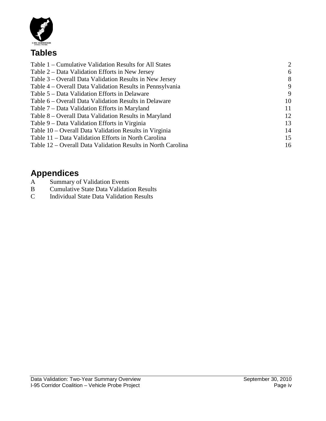

# **Tables**

| Table 1 – Cumulative Validation Results for All States       | 2  |
|--------------------------------------------------------------|----|
| Table 2 – Data Validation Efforts in New Jersey              | 6  |
| Table 3 – Overall Data Validation Results in New Jersey      | 8  |
| Table 4 – Overall Data Validation Results in Pennsylvania    | 9  |
| Table 5 – Data Validation Efforts in Delaware                | 9  |
| Table 6 – Overall Data Validation Results in Delaware        | 10 |
| Table 7 – Data Validation Efforts in Maryland                | 11 |
| Table 8 – Overall Data Validation Results in Maryland        | 12 |
| Table 9 – Data Validation Efforts in Virginia                | 13 |
| Table 10 – Overall Data Validation Results in Virginia       | 14 |
| Table 11 – Data Validation Efforts in North Carolina         | 15 |
| Table 12 – Overall Data Validation Results in North Carolina | 16 |
|                                                              |    |

# **Appendices**<br>A Summary of

- A Summary of Validation Events<br>B Cumulative State Data Validation
- B Cumulative State Data Validation Results<br>C Individual State Data Validation Results
- Individual State Data Validation Results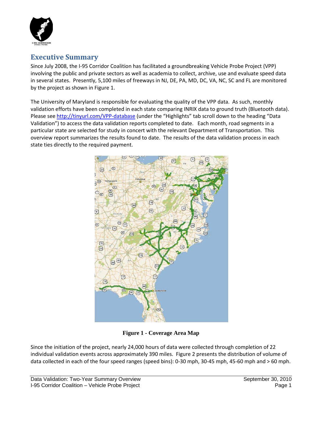

## <span id="page-5-0"></span>**Executive Summary**

Since July 2008, the I-95 Corridor Coalition has facilitated a groundbreaking Vehicle Probe Project (VPP) involving the public and private sectors as well as academia to collect, archive, use and evaluate speed data in several states. Presently, 5,100 miles of freeways in NJ, DE, PA, MD, DC, VA, NC, SC and FL are monitored by the project as shown in Figure 1.

The University of Maryland is responsible for evaluating the quality of the VPP data. As such, monthly validation efforts have been completed in each state comparing INRIX data to ground truth (Bluetooth data). Please se[e http://tinyurl.com/VPP-database](http://tinyurl.com/VPP-database) (under the "Highlights" tab scroll down to the heading "Data Validation") to access the data validation reports completed to date. Each month, road segments in a particular state are selected for study in concert with the relevant Department of Transportation. This overview report summarizes the results found to date. The results of the data validation process in each state ties directly to the required payment.



**Figure 1 - Coverage Area Map**

Since the initiation of the project, nearly 24,000 hours of data were collected through completion of 22 individual validation events across approximately 390 miles. Figure 2 presents the distribution of volume of data collected in each of the four speed ranges (speed bins): 0-30 mph, 30-45 mph, 45-60 mph and > 60 mph.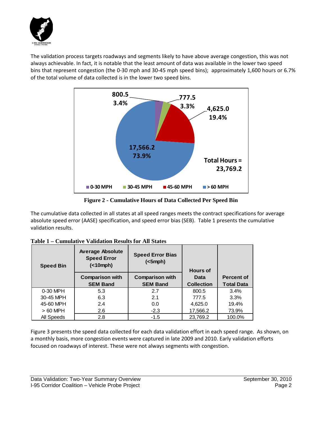

The validation process targets roadways and segments likely to have above average congestion, this was not always achievable. In fact, it is notable that the least amount of data was available in the lower two speed bins that represent congestion (the 0-30 mph and 30-45 mph speed bins); approximately 1,600 hours or 6.7% of the total volume of data collected is in the lower two speed bins.



**Figure 2 - Cumulative Hours of Data Collected Per Speed Bin**

The cumulative data collected in all states at all speed ranges meets the contract specifications for average absolute speed error (AASE) specification, and speed error bias (SEB). Table 1 presents the cumulative validation results.

| <b>Speed Bin</b> | <b>Average Absolute</b><br><b>Speed Error</b><br>( | <b>Speed Error Bias</b><br>$(<5$ mph $)$ | <b>Hours of</b>   |                   |
|------------------|----------------------------------------------------|------------------------------------------|-------------------|-------------------|
|                  | <b>Comparison with</b>                             | <b>Comparison with</b>                   | Data              | <b>Percent of</b> |
|                  | <b>SEM Band</b>                                    | <b>SEM Band</b>                          | <b>Collection</b> | <b>Total Data</b> |
| 0-30 MPH         | 5.3                                                | 2.7                                      | 800.5             | 3.4%              |
| 30-45 MPH        | 6.3                                                | 2.1                                      | 777.5             | 3.3%              |
| 45-60 MPH        | 2.4                                                | 0.0                                      | 4,625.0           | 19.4%             |
| $>60$ MPH        | 2.6                                                | $-2.3$                                   | 17,566.2          | 73.9%             |
| All Speeds       | 2.8                                                | $-1.5$                                   | 23,769.2          | 100.0%            |

Figure 3 presents the speed data collected for each data validation effort in each speed range. As shown, on a monthly basis, more congestion events were captured in late 2009 and 2010. Early validation efforts focused on roadways of interest. These were not always segments with congestion.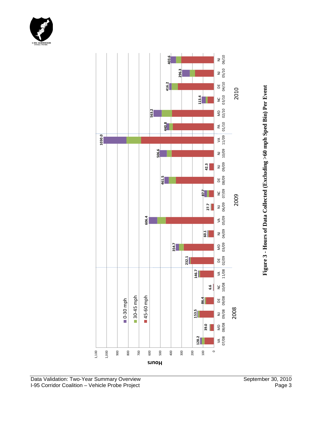



**Figure 3- Hours of Data Collected (Excluding >60 mph Sped Bin) Per Event**

1,100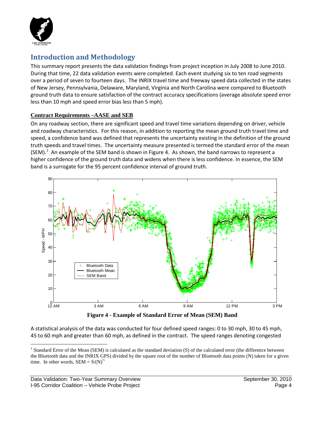

# <span id="page-8-0"></span>**Introduction and Methodology**

This summary report presents the data validation findings from project inception in July 2008 to June 2010. During that time, 22 data validation events were completed. Each event studying six to ten road segments over a period of seven to fourteen days. The INRIX travel time and freeway speed data collected in the states of New Jersey, Pennsylvania, Delaware, Maryland, Virginia and North Carolina were compared to Bluetooth ground truth data to ensure satisfaction of the contract accuracy specifications (average absolute speed error less than 10 mph and speed error bias less than 5 mph).

#### <span id="page-8-1"></span>**Contract Requirements –AASE and SEB**

On any roadway section, there are significant speed and travel time variations depending on driver, vehicle and roadway characteristics. For this reason, in addition to reporting the mean ground truth travel time and speed, a confidence band was defined that represents the uncertainty existing in the definition of the ground truth speeds and travel times. The uncertainty measure presented is termed the standard error of the mean (SEM).<sup>[1](#page-8-2)</sup> An example of the SEM band is shown in Figure 4. As shown, the band narrows to represent a higher confidence of the ground truth data and widens when there is less confidence. In essence, the SEM band is a surrogate for the 95 percent confidence interval of ground truth.



**Figure 4 - Example of Standard Error of Mean (SEM) Band**

A statistical analysis of the data was conducted for four defined speed ranges: 0 to 30 mph, 30 to 45 mph, 45 to 60 mph and greater than 60 mph, as defined in the contract. The speed ranges denoting congested

<span id="page-8-2"></span><sup>&</sup>lt;sup>1</sup> Standard Error of the Mean (SEM) is calculated as the standard deviation  $(S)$  of the calculated error (the difference between the Bluetooth data and the INRIX GPS) divided by the square root of the number of Bluetooth data points (N) taken for a given time. In other words,  $SEM = S/(N)^{1/2}$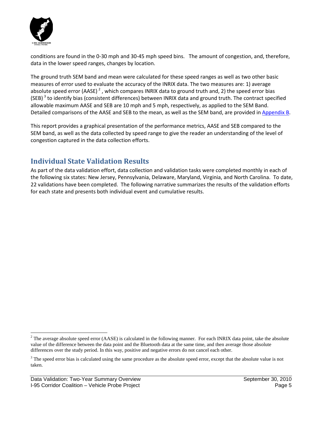

conditions are found in the 0-30 mph and 30-45 mph speed bins. The amount of congestion, and, therefore, data in the lower speed ranges, changes by location.

The ground truth SEM band and mean were calculated for these speed ranges as well as two other basic measures of error used to evaluate the accuracy of the INRIX data. The two measures are: 1) average absolute speed error (AASE)<sup>[2](#page-9-2)</sup>, which compares INRIX data to ground truth and, 2) the speed error bias (SEB)<sup>[3](#page-9-3)</sup> to identify bias (consistent differences) between INRIX data and ground truth. The contract specified allowable maximum AASE and SEB are 10 mph and 5 mph, respectively, as applied to the SEM Band. Detailed comparisons of the AASE and SEB to the mean, as well as the SEM band, are provided i[n Appendix B.](#page-23-0)

This report provides a graphical presentation of the performance metrics, AASE and SEB compared to the SEM band, as well as the data collected by speed range to give the reader an understanding of the level of congestion captured in the data collection efforts.

# <span id="page-9-0"></span>**Individual State Validation Results**

<span id="page-9-1"></span>As part of the data validation effort, data collection and validation tasks were completed monthly in each of the following six states: New Jersey, Pennsylvania, Delaware, Maryland, Virginia, and North Carolina. To date, 22 validations have been completed. The following narrative summarizes the results of the validation efforts for each state and presents both individual event and cumulative results.

<span id="page-9-2"></span> $2^2$  The average absolute speed error (AASE) is calculated in the following manner. For each INRIX data point, take the absolute value of the difference between the data point and the Bluetooth data at the same time, and then average those absolute differences over the study period. In this way, positive and negative errors do not cancel each other.

<span id="page-9-3"></span><sup>&</sup>lt;sup>3</sup> The speed error bias is calculated using the same procedure as the absolute speed error, except that the absolute value is not taken.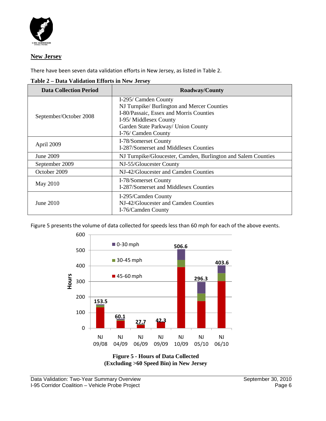

#### **New Jersey**

There have been seven data validation efforts in New Jersey, as listed in Table 2.

| <b>Data Collection Period</b> | <b>Roadway/County</b>                                         |
|-------------------------------|---------------------------------------------------------------|
|                               | I-295/ Camden County                                          |
|                               | NJ Turnpike/Burlington and Mercer Counties                    |
| September/October 2008        | I-80/Passaic, Essex and Morris Counties                       |
|                               | I-95/ Middlesex County                                        |
|                               | Garden State Parkway/ Union County                            |
|                               | I-76/ Camden County                                           |
|                               | I-78/Somerset County                                          |
| April 2009                    | I-287/Somerset and Middlesex Counties                         |
| June 2009                     | NJ Turnpike/Gloucester, Camden, Burlington and Salem Counties |
| September 2009                | NJ-55/Gloucester County                                       |
| October 2009                  | NJ-42/Gloucester and Camden Counties                          |
|                               | I-78/Somerset County                                          |
| May 2010                      | I-287/Somerset and Middlesex Counties                         |
|                               | I-295/Camden County                                           |
| June 2010                     | NJ-42/Gloucester and Camden Counties                          |
|                               | I-76/Camden County                                            |

**Table 2 – Data Validation Efforts in New Jersey**

Figure 5 presents the volume of data collected for speeds less than 60 mph for each of the above events.



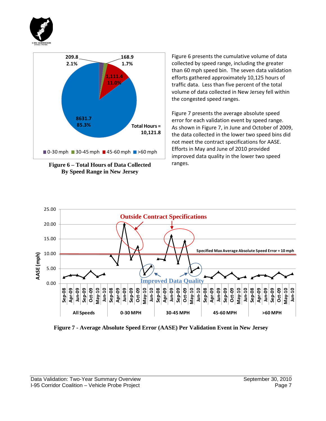



**Figure 6 – Total Hours of Data Collected By Speed Range in New Jersey**

Figure 6 presents the cumulative volume of data collected by speed range, including the greater than 60 mph speed bin. The seven data validation efforts gathered approximately 10,125 hours of traffic data. Less than five percent of the total volume of data collected in New Jersey fell within the congested speed ranges.

Figure 7 presents the average absolute speed error for each validation event by speed range. As shown in Figure 7, in June and October of 2009, the data collected in the lower two speed bins did not meet the contract specifications for AASE. Efforts in May and June of 2010 provided improved data quality in the lower two speed ranges.



**Figure 7 - Average Absolute Speed Error (AASE) Per Validation Event in New Jersey**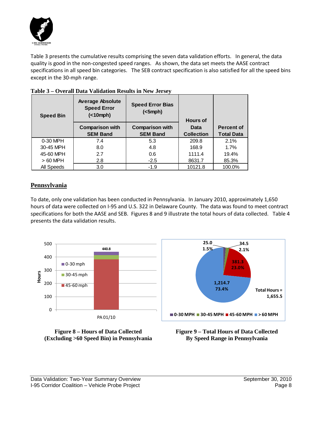

Table 3 presents the cumulative results comprising the seven data validation efforts. In general, the data quality is good in the non-congested speed ranges. As shown, the data set meets the AASE contract specifications in all speed bin categories. The SEB contract specification is also satisfied for all the speed bins except in the 30-mph range.

| <b>Speed Bin</b> | <b>Average Absolute</b><br><b>Speed Error</b><br>( | <b>Speed Error Bias</b><br>(<5 mph)       | <b>Hours of</b>           |                                        |
|------------------|----------------------------------------------------|-------------------------------------------|---------------------------|----------------------------------------|
|                  | <b>Comparison with</b><br><b>SEM Band</b>          | <b>Comparison with</b><br><b>SEM Band</b> | Data<br><b>Collection</b> | <b>Percent of</b><br><b>Total Data</b> |
| 0-30 MPH         | 7.4                                                | 5.3                                       | 209.8                     | 2.1%                                   |
| 30-45 MPH        | 8.0                                                | 4.8                                       | 168.9                     | 1.7%                                   |
| 45-60 MPH        | 2.7                                                | 0.6                                       | 1111.4                    | 19.4%                                  |
| $>60$ MPH        | 2.8                                                | $-2.5$                                    | 8631.7                    | 85.3%                                  |
| All Speeds       | 3.0                                                | $-1.9$                                    | 10121.8                   | 100.0%                                 |

#### **Table 3 – Overall Data Validation Results in New Jersey**

#### <span id="page-12-0"></span>**Pennsylvania**

To date, only one validation has been conducted in Pennsylvania. In January 2010, approximately 1,650 hours of data were collected on I-95 and U.S. 322 in Delaware County. The data was found to meet contract specifications for both the AASE and SEB. Figures 8 and 9 illustrate the total hours of data collected. Table 4 presents the data validation results.





**Figure 9 – Total Hours of Data Collected By Speed Range in Pennsylvania**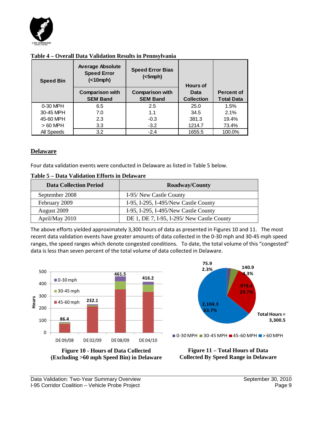

| <b>Speed Bin</b> | <b>Average Absolute</b><br><b>Speed Error</b><br>( | <b>Speed Error Bias</b><br>(<5 mph)       | <b>Hours of</b>           |                                        |
|------------------|----------------------------------------------------|-------------------------------------------|---------------------------|----------------------------------------|
|                  | <b>Comparison with</b><br><b>SEM Band</b>          | <b>Comparison with</b><br><b>SEM Band</b> | Data<br><b>Collection</b> | <b>Percent of</b><br><b>Total Data</b> |
| 0-30 MPH         | 6.5                                                | 2.5                                       | 25.0                      | 1.5%                                   |
| 30-45 MPH        | 7.0                                                | 1.1                                       | 34.5                      | 2.1%                                   |
| 45-60 MPH        | 2.3                                                | $-0.3$                                    | 381.3                     | 19.4%                                  |
| $>60$ MPH        | 3.3                                                | $-3.2$                                    | 1214.7                    | 73.4%                                  |
| All Speeds       | 3.2                                                | $-2.4$                                    | 1655.5                    | 100.0%                                 |

#### **Table 4 – Overall Data Validation Results in Pennsylvania**

#### <span id="page-13-0"></span>**Delaware**

Four data validation events were conducted in Delaware as listed in Table 5 below.

| <b>Data Collection Period</b> | <b>Roadway/County</b>                      |
|-------------------------------|--------------------------------------------|
| September 2008                | I-95/ New Castle County                    |
| February 2009                 | I-95, I-295, I-495/New Castle County       |
| August 2009                   | I-95, I-295, I-495/New Castle County       |
| April/May 2010                | DE 1, DE 7, I-95, I-295/ New Castle County |

The above efforts yielded approximately 3,300 hours of data as presented in Figures 10 and 11. The most recent data validation events have greater amounts of data collected in the 0-30 mph and 30-45 mph speed ranges, the speed ranges which denote congested conditions. To date, the total volume of this "congested" data is less than seven percent of the total volume of data collected in Delaware.



**Figure 10 - Hours of Data Collected (Excluding >60 mph Speed Bin) in Delaware**



**Figure 11 – Total Hours of Data Collected By Speed Range in Delaware**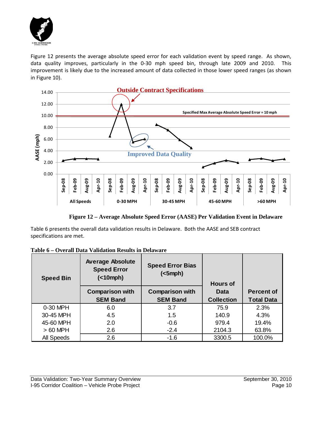

Figure 12 presents the average absolute speed error for each validation event by speed range. As shown, data quality improves, particularly in the 0-30 mph speed bin, through late 2009 and 2010. This improvement is likely due to the increased amount of data collected in those lower speed ranges (as shown in Figure 10).



**Figure 12 – Average Absolute Speed Error (AASE) Per Validation Event in Delaware**

Table 6 presents the overall data validation results in Delaware. Both the AASE and SEB contract specifications are met.

| <b>Speed Bin</b> | <b>Average Absolute</b><br><b>Speed Error</b><br>( | <b>Speed Error Bias</b><br>$(<5$ mph $)$  | <b>Hours of</b>           |                                        |
|------------------|----------------------------------------------------|-------------------------------------------|---------------------------|----------------------------------------|
|                  | <b>Comparison with</b><br><b>SEM Band</b>          | <b>Comparison with</b><br><b>SEM Band</b> | Data<br><b>Collection</b> | <b>Percent of</b><br><b>Total Data</b> |
| 0-30 MPH         | 6.0                                                | 3.7                                       | 75.9                      | 2.3%                                   |
| 30-45 MPH        | 4.5                                                | 1.5                                       | 140.9                     | 4.3%                                   |
| 45-60 MPH        | 2.0                                                | $-0.6$                                    | 979.4                     | 19.4%                                  |
| $>60$ MPH        | 2.6                                                | $-2.4$                                    | 2104.3                    | 63.8%                                  |
| All Speeds       | 2.6                                                | $-1.6$                                    | 3300.5                    | 100.0%                                 |

|--|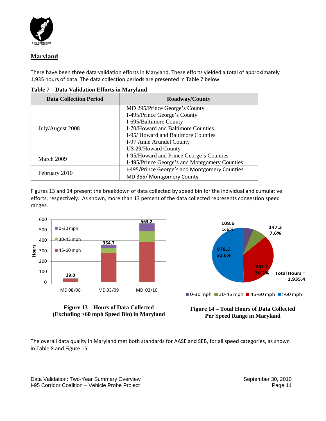

### **Maryland**

There have been three data validation efforts in Maryland. These efforts yielded a total of approximately 1,935 hours of data. The data collection periods are presented in Table 7 below.

| <b>Data Collection Period</b> | Roadway/County                                |
|-------------------------------|-----------------------------------------------|
|                               | MD 295/Prince George's County                 |
|                               | I-495/Prince George's County                  |
|                               | I-695/Baltimore County                        |
| July/August 2008              | I-70/Howard and Baltimore Counties            |
|                               | I-95/Howard and Baltimore Counties            |
|                               | I-97 Anne Arundel County                      |
|                               | <b>US 29/Howard County</b>                    |
|                               | I-95/Howard and Prince George's Counties      |
| March 2009                    | I-495/Prince George's and Montgomery Counties |
|                               | I-495/Prince George's and Montgomery Counties |
| February 2010                 | MD 355/ Montgomery County                     |

**Table 7 – Data Validation Efforts in Maryland**

Figures 13 and 14 present the breakdown of data collected by speed bin for the individual and cumulative efforts, respectively. As shown, more than 13 percent of the data collected represents congestion speed ranges.





**Figure 13 – Hours of Data Collected (Excluding >60 mph Speed Bin) in Maryland**

**Figure 14 – Total Hours of Data Collected Per Speed Range in Maryland**

The overall data quality in Maryland met both standards for AASE and SEB, for all speed categories, as shown in Table 8 and Figure 15.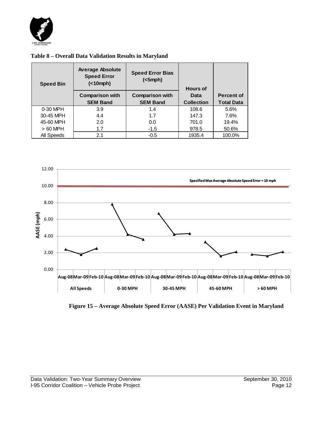

| Table 8 – Overall Data Validation Results in Maryland |  |  |
|-------------------------------------------------------|--|--|
|                                                       |  |  |

| <b>Speed Bin</b> | <b>Average Absolute</b><br><b>Speed Error</b><br>( | <b>Speed Error Bias</b><br>(<5 mph)       | <b>Hours of</b>           |                                        |
|------------------|----------------------------------------------------|-------------------------------------------|---------------------------|----------------------------------------|
|                  | <b>Comparison with</b><br><b>SEM Band</b>          | <b>Comparison with</b><br><b>SEM Band</b> | Data<br><b>Collection</b> | <b>Percent of</b><br><b>Total Data</b> |
| 0-30 MPH         | 3.9                                                | 1.4                                       | 108.6                     | 5.6%                                   |
| 30-45 MPH        | 4.4                                                | 1.7                                       | 147.3                     | 7.6%                                   |
| 45-60 MPH        | 2.0                                                | 0.0                                       | 701.0                     | 19.4%                                  |
| $>60$ MPH        | 1.7                                                | $-1.5$                                    | 978.5                     | 50.6%                                  |
| All Speeds       | 2.1                                                | $-0.5$                                    | 1935.4                    | 100.0%                                 |



**Figure 15 – Average Absolute Speed Error (AASE) Per Validation Event in Maryland**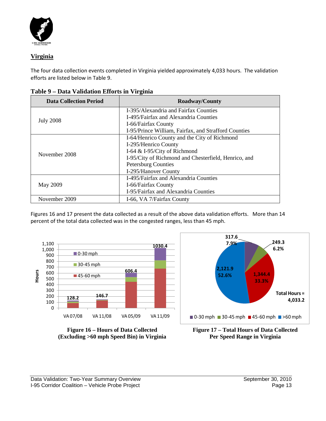

### **Virginia**

The four data collection events completed in Virginia yielded approximately 4,033 hours. The validation efforts are listed below in Table 9.

| <b>Data Collection Period</b> | <b>Roadway/County</b>                                |  |  |  |
|-------------------------------|------------------------------------------------------|--|--|--|
|                               | I-395/Alexandria and Fairfax Counties                |  |  |  |
| <b>July 2008</b>              | I-495/Fairfax and Alexandria Counties                |  |  |  |
|                               | I-66/Fairfax County                                  |  |  |  |
|                               | I-95/Prince William, Fairfax, and Strafford Counties |  |  |  |
|                               | I-64/Henrico County and the City of Richmond         |  |  |  |
|                               | I-295/Henrico County                                 |  |  |  |
|                               | I-64 & I-95/City of Richmond                         |  |  |  |
| November 2008                 | I-95/City of Richmond and Chesterfield, Henrico, and |  |  |  |
|                               | <b>Petersburg Counties</b>                           |  |  |  |
|                               | I-295/Hanover County                                 |  |  |  |
|                               | I-495/Fairfax and Alexandria Counties                |  |  |  |
| May 2009                      | I-66/Fairfax County                                  |  |  |  |
|                               | I-95/Fairfax and Alexandria Counties                 |  |  |  |
| November 2009                 | I-66, VA 7/Fairfax County                            |  |  |  |

**Table 9 – Data Validation Efforts in Virginia**

Figures 16 and 17 present the data collected as a result of the above data validation efforts. More than 14 percent of the total data collected was in the congested ranges, less than 45 mph.







**Figure 17 – Total Hours of Data Collected Per Speed Range in Virginia**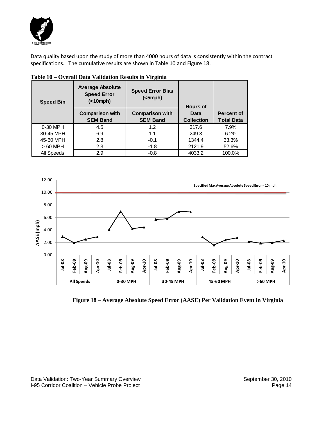

Data quality based upon the study of more than 4000 hours of data is consistently within the contract specifications. The cumulative results are shown in Table 10 and Figure 18.

| <b>Speed Bin</b> | <b>Average Absolute</b><br><b>Speed Error</b><br>(                                     | <b>Speed Error Bias</b><br>$(<5$ mph $)$ | <b>Hours of</b>           |                                        |  |
|------------------|----------------------------------------------------------------------------------------|------------------------------------------|---------------------------|----------------------------------------|--|
|                  | <b>Comparison with</b><br><b>Comparison with</b><br><b>SEM Band</b><br><b>SEM Band</b> |                                          | Data<br><b>Collection</b> | <b>Percent of</b><br><b>Total Data</b> |  |
|                  |                                                                                        |                                          |                           |                                        |  |
| 0-30 MPH         | 4.5                                                                                    | 1.2                                      | 317.6                     | 7.9%                                   |  |
| 30-45 MPH        | 6.9                                                                                    | 1.1                                      | 249.3                     | 6.2%                                   |  |
| 45-60 MPH        | 2.8                                                                                    | $-0.1$                                   | 1344.4                    | 33.3%                                  |  |
| $>60$ MPH        | 2.3                                                                                    | $-1.8$                                   | 2121.9                    | 52.6%                                  |  |
| All Speeds       | 2.9                                                                                    | $-0.8$                                   | 4033.2                    | 100.0%                                 |  |

**Table 10 – Overall Data Validation Results in Virginia**



 **Figure 18 – Average Absolute Speed Error (AASE) Per Validation Event in Virginia**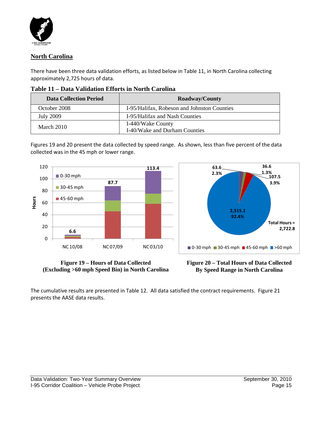

#### <span id="page-19-0"></span>**North Carolina**

There have been three data validation efforts, as listed below in Table 11, in North Carolina collecting approximately 2,725 hours of data.

| <b>Data Collection Period</b>                      | <b>Roadway/County</b>                              |  |  |
|----------------------------------------------------|----------------------------------------------------|--|--|
| October 2008                                       | I-95/Halifax, Robeson and Johnston Counties        |  |  |
| <b>July 2009</b><br>I-95/Halifax and Nash Counties |                                                    |  |  |
| March 2010                                         | I-440/Wake County<br>I-40/Wake and Durham Counties |  |  |

Figures 19 and 20 present the data collected by speed range. As shown, less than five percent of the data collected was in the 45 mph or lower range.



**Figure 19 – Hours of Data Collected (Excluding >60 mph Speed Bin) in North Carolina**



The cumulative results are presented in Table 12. All data satisfied the contract requirements. Figure 21 presents the AASE data results.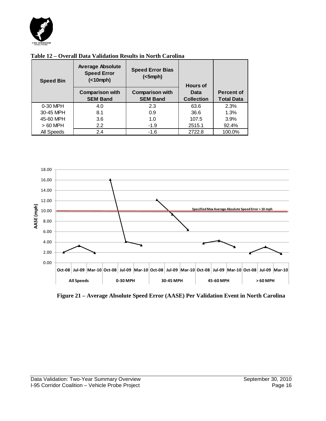

| <b>Speed Bin</b> | <b>Average Absolute</b><br><b>Speed Error</b><br>( | <b>Speed Error Bias</b><br>(<5 mph)<br><b>Hours of</b> |                           |                                        |
|------------------|----------------------------------------------------|--------------------------------------------------------|---------------------------|----------------------------------------|
|                  | <b>Comparison with</b><br><b>SEM Band</b>          | <b>Comparison with</b><br><b>SEM Band</b>              | Data<br><b>Collection</b> | <b>Percent of</b><br><b>Total Data</b> |
| 0-30 MPH         | 4.0                                                | 2.3                                                    | 63.6                      | 2.3%                                   |
| 30-45 MPH        | 8.1                                                | 0.9                                                    | 36.6                      | 1.3%                                   |
| 45-60 MPH        | 3.6                                                | 1.0                                                    | 107.5                     | 3.9%                                   |
| $>60$ MPH        | $2.2^{\circ}$                                      | $-1.9$                                                 | 2515.1                    | 92.4%                                  |
| All Speeds       | 2.4                                                | $-1.6$                                                 | 2722.8                    | 100.0%                                 |

#### **Table 12 – Overall Data Validation Results in North Carolina**



**Figure 21 – Average Absolute Speed Error (AASE) Per Validation Event in North Carolina**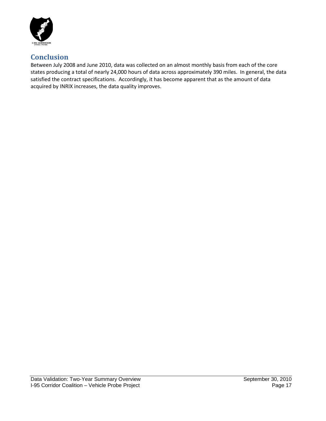

# <span id="page-21-0"></span>**Conclusion**

Between July 2008 and June 2010, data was collected on an almost monthly basis from each of the core states producing a total of nearly 24,000 hours of data across approximately 390 miles. In general, the data satisfied the contract specifications. Accordingly, it has become apparent that as the amount of data acquired by INRIX increases, the data quality improves.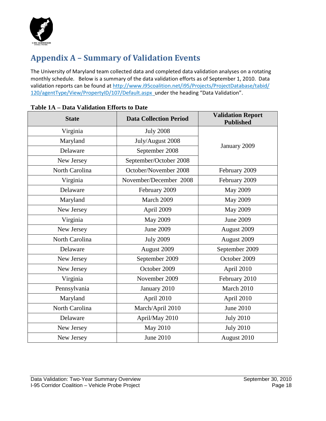

# **Appendix A – Summary of Validation Events**

The University of Maryland team collected data and completed data validation analyses on a rotating monthly schedule. Below is a summary of the data validation efforts as of September 1, 2010. Data validation reports can be found at http://www.i95coalition.net/i95/Projects/ProjectDatabase/tabid/ 120/agentType/View/PropertyID/107/Default.aspx under the heading "Data Validation".

| <b>State</b>   | <b>Data Collection Period</b> | <b>Validation Report</b><br><b>Published</b> |
|----------------|-------------------------------|----------------------------------------------|
| Virginia       | <b>July 2008</b>              |                                              |
| Maryland       | July/August 2008              |                                              |
| Delaware       | September 2008                | January 2009                                 |
| New Jersey     | September/October 2008        |                                              |
| North Carolina | October/November 2008         | February 2009                                |
| Virginia       | November/December 2008        | February 2009                                |
| Delaware       | February 2009                 | <b>May 2009</b>                              |
| Maryland       | March 2009                    | <b>May 2009</b>                              |
| New Jersey     | April 2009                    | <b>May 2009</b>                              |
| Virginia       | <b>May 2009</b>               | <b>June 2009</b>                             |
| New Jersey     | <b>June 2009</b>              | August 2009                                  |
| North Carolina | <b>July 2009</b>              | August 2009                                  |
| Delaware       | August 2009                   | September 2009                               |
| New Jersey     | September 2009                | October 2009                                 |
| New Jersey     | October 2009                  | April 2010                                   |
| Virginia       | November 2009                 | February 2010                                |
| Pennsylvania   | January 2010                  | March 2010                                   |
| Maryland       | April 2010                    | April 2010                                   |
| North Carolina | March/April 2010              | <b>June 2010</b>                             |
| Delaware       | April/May 2010                | <b>July 2010</b>                             |
| New Jersey     | <b>May 2010</b>               | <b>July 2010</b>                             |
| New Jersey     | <b>June 2010</b>              | August 2010                                  |

#### **Table 1A – Data Validation Efforts to Date**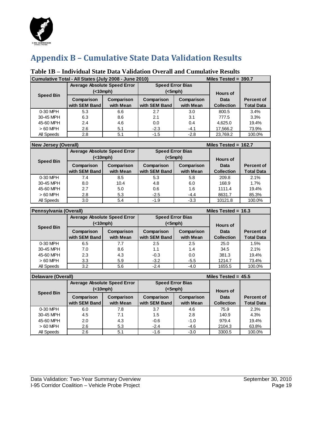<span id="page-23-0"></span>

# **Appendix B – Cumulative State Data Validation Results**

## **Table 1B – Individual State Data Validation Overall and Cumulative Results**

|                  | Cumulative Total - All States (July 2008 - June 2010)<br>Miles Tested = $390.7$ |            |               |            |                   |                   |  |
|------------------|---------------------------------------------------------------------------------|------------|---------------|------------|-------------------|-------------------|--|
|                  | <b>Average Absolute Speed Error</b><br><b>Speed Error Bias</b>                  |            |               |            |                   |                   |  |
| <b>Speed Bin</b> | (                                                                               |            | $(<5$ mph $)$ |            | <b>Hours of</b>   |                   |  |
|                  | Comparison                                                                      | Comparison | Comparison    | Comparison | Data              | <b>Percent of</b> |  |
|                  | with SEM Band                                                                   | with Mean  | with SEM Band | with Mean  | <b>Collection</b> | <b>Total Data</b> |  |
| 0-30 MPH         | 5.3                                                                             | 6.6        | 2.7           | 3.0        | 800.5             | 3.4%              |  |
| 30-45 MPH        | 6.3                                                                             | 8.6        | 2.1           | 3.1        | 777.5             | 3.3%              |  |
| 45-60 MPH        | 2.4                                                                             | 4.6        | 0.0           | 0.4        | 4.625.0           | 19.4%             |  |
| $>60$ MPH        | 2.6                                                                             | 5.1        | $-2.3$        | $-4.1$     | 17,566.2          | 73.9%             |  |
| All Speeds       | 2.8                                                                             | 5.1        | $-1.5$        | $-2.8$     | 23.769.2          | 100.0%            |  |

| <b>New Jersey (Overall)</b><br>Miles Tested = $162.7$ |                                                  |                         |                                          |                         |                           |                                        |
|-------------------------------------------------------|--------------------------------------------------|-------------------------|------------------------------------------|-------------------------|---------------------------|----------------------------------------|
|                                                       | <b>Average Absolute Speed Error</b><br>(<10 mph) |                         | <b>Speed Error Bias</b><br>$(<5$ mph $)$ |                         | <b>Hours of</b>           |                                        |
| <b>Speed Bin</b>                                      | Comparison<br>with SEM Band                      | Comparison<br>with Mean | Comparison<br>with SEM Band              | Comparison<br>with Mean | Data<br><b>Collection</b> | <b>Percent of</b><br><b>Total Data</b> |
| 0-30 MPH                                              | 7.4                                              | 8.5                     | 5.3                                      | 5.8                     | 209.8                     | 2.1%                                   |
| 30-45 MPH                                             | 8.0                                              | 10.4                    | 4.8                                      | 6.0                     | 168.9                     | 1.7%                                   |
| 45-60 MPH                                             | 2.7                                              | 5.0                     | 0.6                                      | 1.6                     | 1111.4                    | 19.4%                                  |
| $>60$ MPH                                             | 2.8                                              | 5.3                     | $-2.5$                                   | $-4.4$                  | 8631.7                    | 85.3%                                  |
| All Speeds                                            | 3.0                                              | 5.4                     | $-1.9$                                   | $-3.3$                  | 10121.8                   | 100.0%                                 |

|                  | Pennsylvania (Overall)<br>Miles Tested = $16.3$             |                         |                                          |                         |                           |                                        |
|------------------|-------------------------------------------------------------|-------------------------|------------------------------------------|-------------------------|---------------------------|----------------------------------------|
|                  | <b>Average Absolute Speed Error</b><br>( <sub>10</sub> mph) |                         | <b>Speed Error Bias</b><br>$(<5$ mph $)$ |                         | <b>Hours of</b>           |                                        |
| <b>Speed Bin</b> | Comparison<br>with SEM Band                                 | Comparison<br>with Mean | Comparison<br>with SEM Band              | Comparison<br>with Mean | Data<br><b>Collection</b> | <b>Percent of</b><br><b>Total Data</b> |
| 0-30 MPH         | 6.5                                                         | 7.7                     | 2.5                                      | 2.5                     | 25.0                      | 1.5%                                   |
| 30-45 MPH        | 7.0                                                         | 8.6                     | 1.1                                      | 1.4                     | 34.5                      | 2.1%                                   |
| 45-60 MPH        | 2.3                                                         | 4.3                     | $-0.3$                                   | 0.0                     | 381.3                     | 19.4%                                  |
| $>60$ MPH        | 3.3                                                         | 5.9                     | $-3.2$                                   | $-5.5$                  | 1214.7                    | 73.4%                                  |
| All Speeds       | 3.2                                                         | 5.6                     | $-2.4$                                   | $-4.0$                  | 1655.5                    | 100.0%                                 |

|                  | Delaware (Overall)<br>Miles Tested = $45.5$ |                         |                             |                         |                           |                                        |  |
|------------------|---------------------------------------------|-------------------------|-----------------------------|-------------------------|---------------------------|----------------------------------------|--|
| <b>Speed Bin</b> | <b>Average Absolute Speed Error</b>         | ( <sub>10</sub> mph)    | <b>Speed Error Bias</b>     | $(<5$ mph $)$           | <b>Hours of</b>           |                                        |  |
|                  | Comparison<br>with SEM Band                 | Comparison<br>with Mean | Comparison<br>with SEM Band | Comparison<br>with Mean | Data<br><b>Collection</b> | <b>Percent of</b><br><b>Total Data</b> |  |
| 0-30 MPH         | 6.0                                         | 7.8                     | 3.7                         | 4.6                     | 75.9                      | 2.3%                                   |  |
| 30-45 MPH        | 4.5                                         | 7.1                     | 1.5                         | 2.8                     | 140.9                     | 4.3%                                   |  |
| 45-60 MPH        | 2.0                                         | 4.3                     | $-0.6$                      | $-1.0$                  | 979.4                     | 19.4%                                  |  |
| $>60$ MPH        | 2.6                                         | 5.3                     | $-2.4$                      | $-4.6$                  | 2104.3                    | 63.8%                                  |  |
| All Speeds       | 2.6                                         | 5.1                     | $-1.6$                      | $-3.0$                  | 3300.5                    | 100.0%                                 |  |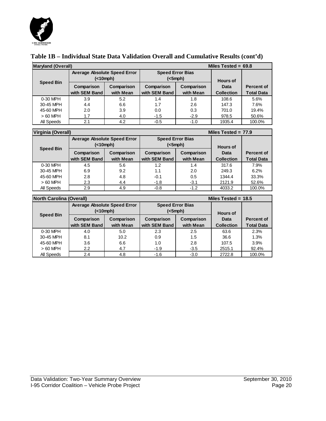

#### **Table 1B – Individual State Data Validation Overall and Cumulative Results (cont'd)**

| Miles Tested = $69.8$<br><b>Maryland (Overall)</b> |                                     |                         |                             |                         |                           |                                        |
|----------------------------------------------------|-------------------------------------|-------------------------|-----------------------------|-------------------------|---------------------------|----------------------------------------|
|                                                    | <b>Average Absolute Speed Error</b> | (<10mph)                | <b>Speed Error Bias</b>     | (<5mph)                 | <b>Hours of</b>           |                                        |
| <b>Speed Bin</b>                                   | Comparison<br>with SEM Band         | Comparison<br>with Mean | Comparison<br>with SEM Band | Comparison<br>with Mean | Data<br><b>Collection</b> | <b>Percent of</b><br><b>Total Data</b> |
| 0-30 MPH                                           | 3.9                                 | 5.2                     | 1.4                         | 1.8                     | 108.6                     | 5.6%                                   |
| 30-45 MPH                                          | 4.4                                 | 6.6                     | 1.7                         | 2.6                     | 147.3                     | 7.6%                                   |
| 45-60 MPH                                          | 2.0                                 | 3.9                     | 0.0                         | 0.3                     | 701.0                     | 19.4%                                  |
| $>60$ MPH                                          | 1.7                                 | 4.0                     | $-1.5$                      | $-2.9$                  | 978.5                     | 50.6%                                  |
| All Speeds                                         | 2.1                                 | 4.2                     | $-0.5$                      | $-1.0$                  | 1935.4                    | 100.0%                                 |

| Virginia (Overall)<br>Miles Tested = $77.9$ |                                     |            |               |                         |                   |                   |
|---------------------------------------------|-------------------------------------|------------|---------------|-------------------------|-------------------|-------------------|
|                                             | <b>Average Absolute Speed Error</b> |            |               | <b>Speed Error Bias</b> |                   |                   |
|                                             | ( <sub>10</sub> mph)                |            | $(<5$ mph $)$ |                         | <b>Hours of</b>   |                   |
| <b>Speed Bin</b>                            | Comparison                          | Comparison | Comparison    | Comparison              | Data              | <b>Percent of</b> |
|                                             | with SEM Band                       | with Mean  | with SEM Band | with Mean               | <b>Collection</b> | <b>Total Data</b> |
| 0-30 MPH                                    | 4.5                                 | 5.6        | 1.2           | 1.4                     | 317.6             | 7.9%              |
| 30-45 MPH                                   | 6.9                                 | 9.2        | 1.1           | 2.0                     | 249.3             | 6.2%              |
| 45-60 MPH                                   | 2.8                                 | 4.8        | -0.1          | 0.5                     | 1344.4            | 33.3%             |
| $>60$ MPH                                   | 2.3                                 | 4.4        | $-1.8$        | $-3.1$                  | 2121.9            | 52.6%             |
| All Speeds                                  | 2.9                                 | 4.9        | $-0.8$        | $-1.2$                  | 4033.2            | 100.0%            |

| <b>North Carolina (Overall)</b> |                                          |                         |                             |                         | Miles Tested = $18.5$     |                                        |
|---------------------------------|------------------------------------------|-------------------------|-----------------------------|-------------------------|---------------------------|----------------------------------------|
|                                 | <b>Average Absolute Speed Error</b><br>( |                         | <b>Speed Error Bias</b>     | (<5mph)                 | <b>Hours of</b>           |                                        |
| <b>Speed Bin</b>                | Comparison<br>with SEM Band              | Comparison<br>with Mean | Comparison<br>with SEM Band | Comparison<br>with Mean | Data<br><b>Collection</b> | <b>Percent of</b><br><b>Total Data</b> |
| 0-30 MPH                        | 4.0                                      | 5.0                     | 2.3                         | 2.5                     | 63.6                      | 2.3%                                   |
| 30-45 MPH                       | 8.1                                      | 10.2                    | 0.9                         | 1.5                     | 36.6                      | 1.3%                                   |
| 45-60 MPH                       | 3.6                                      | 6.6                     | 1.0                         | 2.8                     | 107.5                     | 3.9%                                   |
| $>60$ MPH                       | 2.2                                      | 4.7                     | $-1.9$                      | $-3.5$                  | 2515.1                    | 92.4%                                  |
| All Speeds                      | 2.4                                      | 4.8                     | $-1.6$                      | $-3.0$                  | 2722.8                    | 100.0%                                 |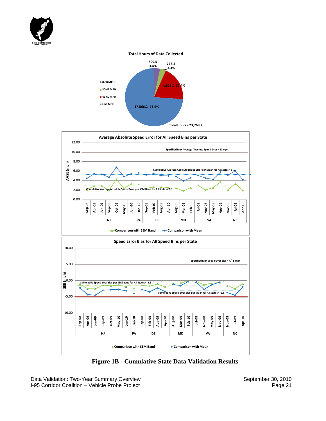

#### **Total Hours of Data Collected**





**Figure 1B - Cumulative State Data Validation Results**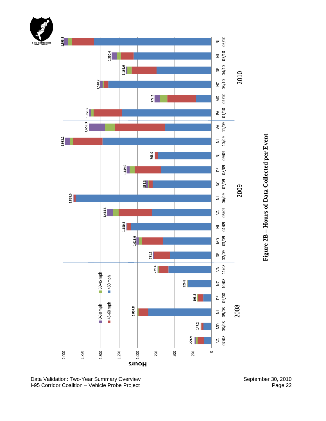



I -95 Corridor Coalition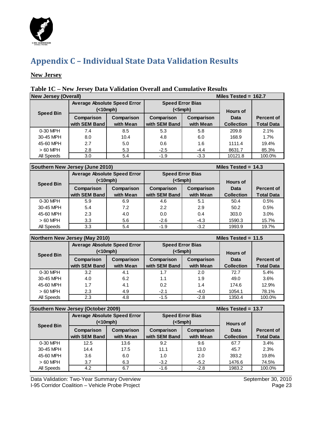

# **Appendix C – Individual State Data Validation Results**

#### **New Jersey**

### **Table 1C – New Jersey Data Validation Overall and Cumulative Results**

| <b>New Jersey (Overall)</b> |                                          |            |                                          |            | Miles Tested = $162.7$  |                   |
|-----------------------------|------------------------------------------|------------|------------------------------------------|------------|-------------------------|-------------------|
|                             | <b>Average Absolute Speed Error</b><br>( |            | <b>Speed Error Bias</b><br>$(<5$ mph $)$ |            |                         |                   |
| <b>Speed Bin</b>            | Comparison                               | Comparison | Comparison                               | Comparison | <b>Hours of</b><br>Data | <b>Percent of</b> |
|                             | with SEM Band                            | with Mean  | with SEM Band                            | with Mean  | <b>Collection</b>       | <b>Total Data</b> |
| 0-30 MPH                    | 7.4                                      | 8.5        | 5.3                                      | 5.8        | 209.8                   | 2.1%              |
| 30-45 MPH                   | 8.0                                      | 10.4       | 4.8                                      | 6.0        | 168.9                   | 1.7%              |
| 45-60 MPH                   | 2.7                                      | 5.0        | 0.6                                      | 1.6        | 1111.4                  | 19.4%             |
| $>60$ MPH                   | 2.8                                      | 5.3        | $-2.5$                                   | $-4.4$     | 8631.7                  | 85.3%             |
| All Speeds                  | 3.0                                      | 5.4        | $-1.9$                                   | $-3.3$     | 10121.8                 | 100.0%            |

| Southern New Jersey (June 2010) |                                          |            |                                          |            | Miles Tested = $14.3$   |                   |
|---------------------------------|------------------------------------------|------------|------------------------------------------|------------|-------------------------|-------------------|
|                                 | <b>Average Absolute Speed Error</b><br>( |            | <b>Speed Error Bias</b><br>$(<5$ mph $)$ |            |                         |                   |
| <b>Speed Bin</b>                | Comparison                               | Comparison | Comparison                               | Comparison | <b>Hours of</b><br>Data | <b>Percent of</b> |
|                                 | with SEM Band                            | with Mean  | with SEM Band                            | with Mean  | <b>Collection</b>       | <b>Total Data</b> |
| 0-30 MPH                        | 5.9                                      | 6.9        | 4.6                                      | 5.1        | 50.4                    | 0.5%              |
| 30-45 MPH                       | 5.4                                      | 7.2        | 2.2                                      | 2.9        | 50.2                    | 0.5%              |
| 45-60 MPH                       | 2.3                                      | 4.0        | 0.0                                      | 0.4        | 303.0                   | 3.0%              |
| $>60$ MPH                       | 3.3                                      | 5.6        | $-2.6$                                   | $-4.3$     | 1590.3                  | 15.7%             |
| All Speeds                      | 3.3                                      | 5.4        | $-1.9$                                   | $-3.2$     | 1993.9                  | 19.7%             |

| Northern New Jersey (May 2010) |                                     |            |                         | Miles Tested = $11.5$ |                   |                   |  |
|--------------------------------|-------------------------------------|------------|-------------------------|-----------------------|-------------------|-------------------|--|
|                                | <b>Average Absolute Speed Error</b> |            | <b>Speed Error Bias</b> |                       |                   |                   |  |
| <b>Speed Bin</b>               | ( <sub>10</sub> mph)                |            | $(<5$ mph $)$           |                       | <b>Hours of</b>   |                   |  |
|                                | Comparison                          | Comparison | Comparison              | Comparison            | Data              | <b>Percent of</b> |  |
|                                | with SEM Band                       | with Mean  | with SEM Band           | with Mean             | <b>Collection</b> | <b>Total Data</b> |  |
| 0-30 MPH                       | 3.2                                 | 4.1        | 1.7                     | 2.0                   | 72.7              | 5.4%              |  |
| 30-45 MPH                      | 4.0                                 | 6.2        | 1.1                     | 1.9                   | 49.0              | 3.6%              |  |
| 45-60 MPH                      | 1.7                                 | 4.1        | 0.2                     | 1.4                   | 174.6             | 12.9%             |  |
| $>60$ MPH                      | 2.3                                 | 4.9        | $-2.1$                  | $-4.0$                | 1054.1            | 78.1%             |  |
| All Speeds                     | 2.3                                 | 4.8        | $-1.5$                  | $-2.8$                | 1350.4            | 100.0%            |  |

| Southern New Jersey (October 2009) |                                     |            |                         |               |                   | Miles Tested = $13.7$<br><b>Hours of</b> |  |  |
|------------------------------------|-------------------------------------|------------|-------------------------|---------------|-------------------|------------------------------------------|--|--|
|                                    | <b>Average Absolute Speed Error</b> |            | <b>Speed Error Bias</b> |               |                   |                                          |  |  |
| <b>Speed Bin</b>                   | (                                   |            |                         | $(<5$ mph $)$ |                   |                                          |  |  |
|                                    | Comparison                          | Comparison | Comparison              | Comparison    | Data              | Percent of                               |  |  |
|                                    | with SEM Band                       | with Mean  | with SEM Band           | with Mean     | <b>Collection</b> | <b>Total Data</b>                        |  |  |
| 0-30 MPH                           | 12.5                                | 13.6       | 9.2                     | 9.6           | 67.7              | 3.4%                                     |  |  |
| 30-45 MPH                          | 14.4                                | 17.5       | 11.1                    | 13.0          | 45.7              | 2.3%                                     |  |  |
| 45-60 MPH                          | 3.6                                 | 6.0        | 1.0                     | 2.0           | 393.2             | 19.8%                                    |  |  |
| $>60$ MPH                          | 3.7                                 | 6.3        | $-3.2$                  | $-5.2$        | 1476.6            | 74.5%                                    |  |  |
| All Speeds                         | 4.2                                 | 6.7        | $-1.6$                  | $-2.8$        | 1983.2            | 100.0%                                   |  |  |

Data Validation: Two-Year Summary Overview September 30, 2010<br>
I-95 Corridor Coalition – Vehicle Probe Project Page 23 I-95 Corridor Coalition - Vehicle Probe Project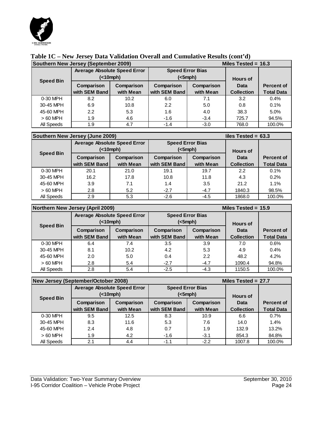

|  | Table 1C – New Jersey Data Validation Overall and Cumulative Results (cont'd) |
|--|-------------------------------------------------------------------------------|
|  |                                                                               |

| Southern New Jersey (September 2009) |                                     |            |                         | Miles Tested = $16.3$ |                   |                   |  |
|--------------------------------------|-------------------------------------|------------|-------------------------|-----------------------|-------------------|-------------------|--|
|                                      | <b>Average Absolute Speed Error</b> |            | <b>Speed Error Bias</b> |                       |                   |                   |  |
| <b>Speed Bin</b>                     | (                                   |            | $(<5$ mph $)$           |                       | <b>Hours of</b>   |                   |  |
|                                      | Comparison                          | Comparison | Comparison              | Comparison            | Data              | <b>Percent of</b> |  |
|                                      | with SEM Band                       | with Mean  | with SEM Band           | with Mean             | <b>Collection</b> | <b>Total Data</b> |  |
| 0-30 MPH                             | 8.2                                 | 10.2       | 6.0                     | 7.1                   | 3.2               | 0.4%              |  |
| 30-45 MPH                            | 6.9                                 | 10.8       | 2.2                     | 5.0                   | 0.8               | 0.1%              |  |
| 45-60 MPH                            | $2.2^{\circ}$                       | 5.3        | 1.6                     | 4.0                   | 38.3              | 5.0%              |  |
| $>60$ MPH                            | 1.9                                 | 4.6        | $-1.6$                  | $-3.4$                | 725.7             | 94.5%             |  |
| All Speeds                           | 1.9                                 | 4.7        | $-1.4$                  | $-3.0$                | 768.0             | 100.0%            |  |

| Southern New Jersey (June 2009) |                                          |                         |                                          |                         | liles Tested = $63.3$                        |                                        |
|---------------------------------|------------------------------------------|-------------------------|------------------------------------------|-------------------------|----------------------------------------------|----------------------------------------|
|                                 | <b>Average Absolute Speed Error</b><br>( |                         | <b>Speed Error Bias</b><br>$(<5$ mph $)$ |                         |                                              |                                        |
| <b>Speed Bin</b>                | Comparison<br>with SEM Band              | Comparison<br>with Mean | Comparison<br>with SEM Band              | Comparison<br>with Mean | <b>Hours of</b><br>Data<br><b>Collection</b> | <b>Percent of</b><br><b>Total Data</b> |
| 0-30 MPH                        | 20.1                                     | 21.0                    | 19.1                                     | 19.7                    | 2.2                                          | 0.1%                                   |
| 30-45 MPH                       | 16.2                                     | 17.8                    | 10.8                                     | 11.8                    | 4.3                                          | 0.2%                                   |
| 45-60 MPH                       | 3.9                                      | 7.1                     | 1.4                                      | 3.5                     | 21.2                                         | 1.1%                                   |
| $>60$ MPH                       | 2.8                                      | 5.2                     | $-2.7$                                   | $-4.7$                  | 1840.3                                       | 98.5%                                  |
| All Speeds                      | 2.9                                      | 5.3                     | $-2.6$                                   | $-4.5$                  | 1868.0                                       | 100.0%                                 |

| Northern New Jersey (April 2009) |                                          |                         |                                          |                         |                   | Miles Tested = $15.9$<br><b>Hours of</b><br>Percent of<br>Data |  |
|----------------------------------|------------------------------------------|-------------------------|------------------------------------------|-------------------------|-------------------|----------------------------------------------------------------|--|
|                                  | <b>Average Absolute Speed Error</b><br>( |                         | <b>Speed Error Bias</b><br>$(<5$ mph $)$ |                         |                   |                                                                |  |
| <b>Speed Bin</b>                 | Comparison<br>with SEM Band              | Comparison<br>with Mean | Comparison<br>with SEM Band              | Comparison<br>with Mean | <b>Collection</b> | <b>Total Data</b>                                              |  |
| 0-30 MPH                         | 6.4                                      | 7.4                     | 3.5                                      | 3.9                     | 7.0               | 0.6%                                                           |  |
|                                  |                                          |                         |                                          |                         |                   |                                                                |  |
| 30-45 MPH                        | 8.1                                      | 10.2                    | 4.2                                      | 5.3                     | 4.9               | 0.4%                                                           |  |
| 45-60 MPH                        | 2.0                                      | 5.0                     | 0.4                                      | 2.2                     | 48.2              | 4.2%                                                           |  |
| $>60$ MPH                        | 2.8                                      | 5.4                     | $-2.7$                                   | $-4.7$                  | 1090.4            | 94.8%                                                          |  |
| All Speeds                       | 2.8                                      | 5.4                     | $-2.5$                                   | $-4.3$                  | 1150.5            | 100.0%                                                         |  |

| New Jersey (September/October 2008) |                                     |            | Miles Tested = $27.7$   |            |                   |                   |
|-------------------------------------|-------------------------------------|------------|-------------------------|------------|-------------------|-------------------|
|                                     | <b>Average Absolute Speed Error</b> |            | <b>Speed Error Bias</b> |            |                   |                   |
| <b>Speed Bin</b>                    | (                                   |            | $(<5$ mph $)$           |            | <b>Hours of</b>   |                   |
|                                     | Comparison                          | Comparison | Comparison              | Comparison | Data              | <b>Percent of</b> |
|                                     | with SEM Band                       | with Mean  | with SEM Band           | with Mean  | <b>Collection</b> | <b>Total Data</b> |
| 0-30 MPH                            | 9.5                                 | 12.5       | 8.3                     | 10.9       | 6.6               | 0.7%              |
| 30-45 MPH                           | 8.3                                 | 11.6       | 5.3                     | 7.6        | 14.0              | 1.4%              |
| 45-60 MPH                           | 2.4                                 | 4.8        | 0.7                     | 1.9        | 132.9             | 13.2%             |
| $>60$ MPH                           | 1.9                                 | 4.2        | $-1.6$                  | $-3.1$     | 854.3             | 84.8%             |
| All Speeds                          | 2.1                                 | 4.4        | $-1.1$                  | $-2.2$     | 1007.8            | 100.0%            |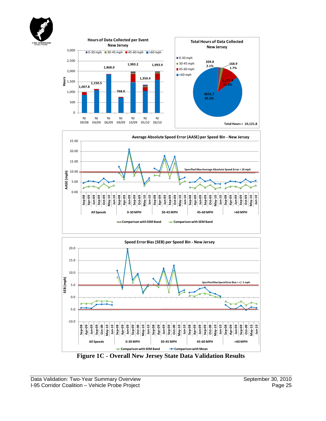







**Figure 1C - Overall New Jersey State Data Validation Results**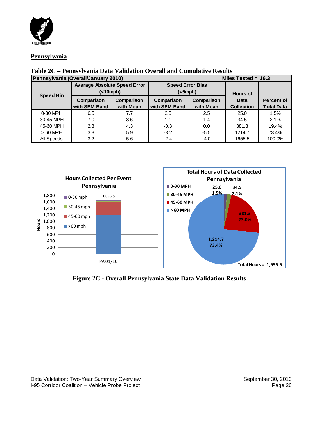

#### **Pennsylvania**

| Pennsylvania (Overall/January 2010) |                                     |                         | Miles Tested = $16.3$       |                         |                           |                                        |  |
|-------------------------------------|-------------------------------------|-------------------------|-----------------------------|-------------------------|---------------------------|----------------------------------------|--|
|                                     | <b>Average Absolute Speed Error</b> |                         |                             | <b>Speed Error Bias</b> |                           |                                        |  |
| <b>Speed Bin</b>                    | (                                   |                         |                             | (<5mph)                 | <b>Hours of</b>           |                                        |  |
|                                     | Comparison<br>with SEM Band         | Comparison<br>with Mean | Comparison<br>with SEM Band | Comparison<br>with Mean | Data<br><b>Collection</b> | <b>Percent of</b><br><b>Total Data</b> |  |
| 0-30 MPH                            | 6.5                                 | 7.7                     | 2.5                         | 2.5                     | 25.0                      | 1.5%                                   |  |
| 30-45 MPH                           | 7.0                                 | 8.6                     | 1.1                         | 1.4                     | 34.5                      | 2.1%                                   |  |
| 45-60 MPH                           | 2.3                                 | 4.3                     | $-0.3$                      | 0.0                     | 381.3                     | 19.4%                                  |  |
| $>60$ MPH                           | 3.3                                 | 5.9                     | $-3.2$                      | $-5.5$                  | 1214.7                    | 73.4%                                  |  |
| All Speeds                          | 3.2                                 | 5.6                     | $-2.4$                      | $-4.0$                  | 1655.5                    | 100.0%                                 |  |

## **Table 2C – Pennsylvania Data Validation Overall and Cumulative Results**



**Figure 2C - Overall Pennsylvania State Data Validation Results**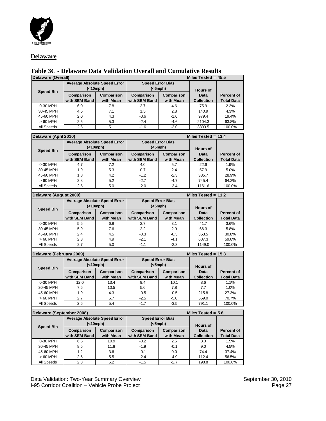

#### **Delaware**

# **Table 3C - Delaware Data Validation Overall and Cumulative Results**

| Delaware (Overall) |                                          |                         | Miles Tested = $45.5$              |                         |                           |                                        |
|--------------------|------------------------------------------|-------------------------|------------------------------------|-------------------------|---------------------------|----------------------------------------|
| <b>Speed Bin</b>   | <b>Average Absolute Speed Error</b><br>( |                         | <b>Speed Error Bias</b><br>(<5mph) |                         | <b>Hours of</b>           |                                        |
|                    | Comparison<br>with SEM Band              | Comparison<br>with Mean | Comparison<br>with SEM Band        | Comparison<br>with Mean | Data<br><b>Collection</b> | <b>Percent of</b><br><b>Total Data</b> |
| 0-30 MPH           | 6.0                                      | 7.8                     | 3.7                                | 4.6                     | 75.9                      | 2.3%                                   |
| 30-45 MPH          | 4.5                                      | 7.1                     | 1.5                                | 2.8                     | 140.9                     | 4.3%                                   |
| 45-60 MPH          | 2.0                                      | 4.3                     | $-0.6$                             | $-1.0$                  | 979.4                     | 19.4%                                  |
| $>60$ MPH          | 2.6                                      | 5.3                     | $-2.4$                             | $-4.6$                  | 2104.3                    | 63.8%                                  |
| All Speeds         | 2.6                                      | 5.1                     | $-1.6$                             | $-3.0$                  | 3300.5                    | 100.0%                                 |

| Delaware (April 2010) |                                          |                         | Miles Tested = $13.4$                    |                         |                           |                                        |
|-----------------------|------------------------------------------|-------------------------|------------------------------------------|-------------------------|---------------------------|----------------------------------------|
| <b>Speed Bin</b>      | <b>Average Absolute Speed Error</b><br>( |                         | <b>Speed Error Bias</b><br>$(<5$ mph $)$ |                         | <b>Hours of</b>           |                                        |
|                       | Comparison<br>with SEM Band              | Comparison<br>with Mean | Comparison<br>with SEM Band              | Comparison<br>with Mean | Data<br><b>Collection</b> | <b>Percent of</b><br><b>Total Data</b> |
| 0-30 MPH              | 4.7                                      | 7.2                     | 4.0                                      | 5.7                     | 22.6                      | 1.9%                                   |
| 30-45 MPH             | 1.9                                      | 5.3                     | 0.7                                      | 2.4                     | 57.9                      | 5.0%                                   |
| 45-60 MPH             | 1.8                                      | 4.2                     | $-1.2$                                   | $-2.3$                  | 335.7                     | 28.9%                                  |
| $>60$ MPH             | 2.8                                      | 5.2                     | $-2.7$                                   | $-4.7$                  | 745.4                     | 64.2%                                  |
| All Speeds            | 2.5                                      | 5.0                     | $-2.0$                                   | $-3.4$                  | 1161.6                    | 100.0%                                 |
|                       |                                          |                         |                                          |                         |                           |                                        |

| Delaware (August 2009) |                                                             |                         | Miles Tested = $11.2$                    |                         |                           |                                        |
|------------------------|-------------------------------------------------------------|-------------------------|------------------------------------------|-------------------------|---------------------------|----------------------------------------|
| <b>Speed Bin</b>       | <b>Average Absolute Speed Error</b><br>( <sub>10</sub> mph) |                         | <b>Speed Error Bias</b><br>$(<5$ mph $)$ |                         | <b>Hours of</b>           |                                        |
|                        | Comparison<br>with SEM Band                                 | Comparison<br>with Mean | Comparison<br>with SEM Band              | Comparison<br>with Mean | Data<br><b>Collection</b> | <b>Percent of</b><br><b>Total Data</b> |
| 0-30 MPH               | 5.5                                                         | 6.8                     | 2.7                                      | 3.1                     | 41.7                      | 3.6%                                   |
| 30-45 MPH              | 5.9                                                         | 7.6                     | 2.2                                      | 2.9                     | 66.3                      | 5.8%                                   |
| 45-60 MPH              | 2.4                                                         | 4.5                     | $-0.3$                                   | $-0.3$                  | 353.5                     | 30.8%                                  |
| $>60$ MPH              | 2.3                                                         | 4.9                     | $-2.1$                                   | $-4.1$                  | 687.3                     | 59.8%                                  |
| All Speeds             | 2.7                                                         | 5.0                     | $-1.1$                                   | $-2.3$                  | 1149.0                    | 100.0%                                 |
|                        |                                                             |                         |                                          |                         |                           |                                        |

| Delaware (February 2009) |                                          |                         | Miles Tested = $15.3$                    |                         |                           |                                        |
|--------------------------|------------------------------------------|-------------------------|------------------------------------------|-------------------------|---------------------------|----------------------------------------|
| <b>Speed Bin</b>         | <b>Average Absolute Speed Error</b><br>( |                         | <b>Speed Error Bias</b><br>$(<5$ mph $)$ |                         | <b>Hours of</b>           |                                        |
|                          | Comparison<br>with SEM Band              | Comparison<br>with Mean | Comparison<br>with SEM Band              | Comparison<br>with Mean | Data<br><b>Collection</b> | <b>Percent of</b><br><b>Total Data</b> |
| 0-30 MPH                 | 12.0                                     | 13.4                    | 9.4                                      | 10.1                    | 8.6                       | 1.1%                                   |
| 30-45 MPH                | 7.6                                      | 10.5                    | 5.6                                      | 7.8                     | 7.7                       | 1.0%                                   |
| 45-60 MPH                | 1.9                                      | 4.3                     | $-0.5$                                   | $-0.5$                  | 215.8                     | 27.3%                                  |
| $>60$ MPH                | 2.7                                      | 5.7                     | $-2.5$                                   | $-5.0$                  | 559.0                     | 70.7%                                  |
| All Speeds               | 2.6                                      | 5.4                     | $-1.7$                                   | $-3.5$                  | 791.1                     | 100.0%                                 |
|                          |                                          |                         |                                          |                         |                           |                                        |

| Delaware (September 2008) |                                          |                         | Miles Tested = $5.6$                     |                         |                           |                                        |
|---------------------------|------------------------------------------|-------------------------|------------------------------------------|-------------------------|---------------------------|----------------------------------------|
|                           | <b>Average Absolute Speed Error</b><br>( |                         | <b>Speed Error Bias</b><br>$(<5$ mph $)$ |                         | <b>Hours of</b>           |                                        |
| <b>Speed Bin</b>          | Comparison<br>with SEM Band              | Comparison<br>with Mean | Comparison<br>with SEM Band              | Comparison<br>with Mean | Data<br><b>Collection</b> | <b>Percent of</b><br><b>Total Data</b> |
| 0-30 MPH                  | 6.5                                      | 10.9                    | $-0.2$                                   | 2.5                     | 3.0                       | 1.5%                                   |
| 30-45 MPH                 | 8.5                                      | 11.8                    | $-1.9$                                   | $-0.1$                  | 9.0                       | 4.5%                                   |
| 45-60 MPH                 | 1.2                                      | 3.6                     | $-0.1$                                   | 0.0                     | 74.4                      | 37.4%                                  |
| $>60$ MPH                 | 2.5                                      | 5.5                     | $-2.4$                                   | $-4.9$                  | 112.4                     | 56.5%                                  |
| All Speeds                | 2.3                                      | 5.2                     | $-1.5$                                   | $-2.7$                  | 198.8                     | 100.0%                                 |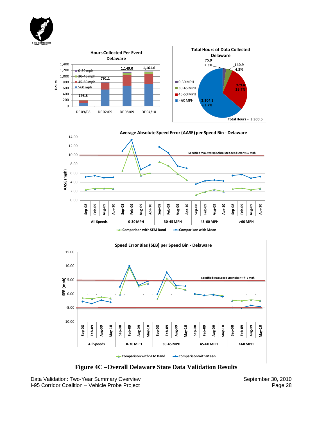





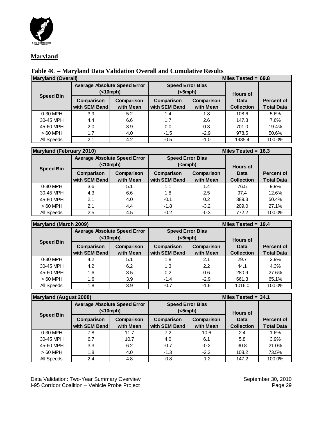

#### **Maryland**

# **Table 4C – Maryland Data Validation Overall and Cumulative Results**

| <b>Maryland (Overall)</b> |                                          |                         | Miles Tested = $69.8$              |                         |                           |                                        |
|---------------------------|------------------------------------------|-------------------------|------------------------------------|-------------------------|---------------------------|----------------------------------------|
| <b>Speed Bin</b>          | <b>Average Absolute Speed Error</b><br>( |                         | <b>Speed Error Bias</b><br>(<5mph) |                         | <b>Hours of</b>           |                                        |
|                           | Comparison<br>with SEM Band              | Comparison<br>with Mean | Comparison<br>with SEM Band        | Comparison<br>with Mean | Data<br><b>Collection</b> | <b>Percent of</b><br><b>Total Data</b> |
| 0-30 MPH                  | 3.9                                      | 5.2                     | 1.4                                | 1.8                     | 108.6                     | 5.6%                                   |
| 30-45 MPH                 | 4.4                                      | 6.6                     | 1.7                                | 2.6                     | 147.3                     | 7.6%                                   |
| 45-60 MPH                 | 2.0                                      | 3.9                     | 0.0                                | 0.3                     | 701.0                     | 19.4%                                  |
| $>60$ MPH                 | 1.7                                      | 4.0                     | $-1.5$                             | $-2.9$                  | 978.5                     | 50.6%                                  |
| All Speeds                | 2.1                                      | 4.2                     | $-0.5$                             | $-1.0$                  | 1935.4                    | 100.0%                                 |

| <b>Maryland (February 2010)</b> |                                                             |                         | Miles Tested = $16.3$              |                         |                           |                                        |
|---------------------------------|-------------------------------------------------------------|-------------------------|------------------------------------|-------------------------|---------------------------|----------------------------------------|
| <b>Speed Bin</b>                | <b>Average Absolute Speed Error</b><br>( <sub>10</sub> mph) |                         | <b>Speed Error Bias</b><br>(<5mph) |                         | <b>Hours of</b>           |                                        |
|                                 | Comparison<br>with SEM Band                                 | Comparison<br>with Mean | Comparison<br>with SEM Band        | Comparison<br>with Mean | Data<br><b>Collection</b> | <b>Percent of</b><br><b>Total Data</b> |
| 0-30 MPH                        | 3.6                                                         | 5.1                     | 1.1                                | 1.4                     | 76.5                      | 9.9%                                   |
| 30-45 MPH                       | 4.3                                                         | 6.6                     | 1.8                                | 2.5                     | 97.4                      | 12.6%                                  |
| 45-60 MPH                       | 2.1                                                         | 4.0                     | $-0.1$                             | 0.2                     | 389.3                     | 50.4%                                  |
| $>60$ MPH                       | 2.1                                                         | 4.4                     | $-1.8$                             | $-3.2$                  | 209.0                     | 27.1%                                  |
| All Speeds                      | 2.5                                                         | 4.5                     | $-0.2$                             | $-0.3$                  | 772.2                     | 100.0%                                 |

| <b>Maryland (March 2009)</b> |                                     |            |               |                         | Miles Tested = $19.4$ |                   |
|------------------------------|-------------------------------------|------------|---------------|-------------------------|-----------------------|-------------------|
|                              | <b>Average Absolute Speed Error</b> |            |               | <b>Speed Error Bias</b> |                       |                   |
| <b>Speed Bin</b>             | (<10mph)                            |            | (<5mph)       |                         | <b>Hours of</b>       |                   |
|                              | Comparison                          | Comparison | Comparison    | Comparison              | Data                  | <b>Percent of</b> |
|                              | with SEM Band                       | with Mean  | with SEM Band | with Mean               | <b>Collection</b>     | <b>Total Data</b> |
| 0-30 MPH                     | 4.2                                 | 5.1        | 1.8           | 2.1                     | 29.7                  | 2.9%              |
| 30-45 MPH                    | 4.2                                 | 6.2        | 1.3           | 2.2                     | 44.1                  | 4.3%              |
| 45-60 MPH                    | 1.6                                 | 3.5        | 0.2           | 0.6                     | 280.9                 | 27.6%             |
| $>60$ MPH                    | 1.6                                 | 3.9        | $-1.4$        | $-2.9$                  | 661.3                 | 65.1%             |
| All Speeds                   | 1.8                                 | 3.9        | $-0.7$        | $-1.6$                  | 1016.0                | 100.0%            |

| <b>Maryland (August 2008)</b> |                                     |            | Miles Tested = $34.1$   |            |                   |                   |
|-------------------------------|-------------------------------------|------------|-------------------------|------------|-------------------|-------------------|
|                               | <b>Average Absolute Speed Error</b> |            | <b>Speed Error Bias</b> |            |                   |                   |
|                               | (                                   |            | $(<5$ mph $)$           |            | <b>Hours of</b>   |                   |
| <b>Speed Bin</b>              | Comparison                          | Comparison | Comparison              | Comparison | Data              | <b>Percent of</b> |
|                               | with SEM Band                       | with Mean  | with SEM Band           | with Mean  | <b>Collection</b> | <b>Total Data</b> |
| 0-30 MPH                      | 7.8                                 | 11.7       | 7.2                     | 10.6       | 2.4               | 1.6%              |
| 30-45 MPH                     | 6.7                                 | 10.7       | 4.0                     | 6.1        | 5.8               | 3.9%              |
| 45-60 MPH                     | 3.3                                 | 6.2        | $-0.7$                  | $-0.2$     | 30.8              | 21.0%             |
| $>60$ MPH                     | 1.8                                 | 4.0        | $-1.3$                  | $-2.2$     | 108.2             | 73.5%             |
| All Speeds                    | 2.4                                 | 4.8        | $-0.8$                  | $-1.2$     | 147.2             | 100.0%            |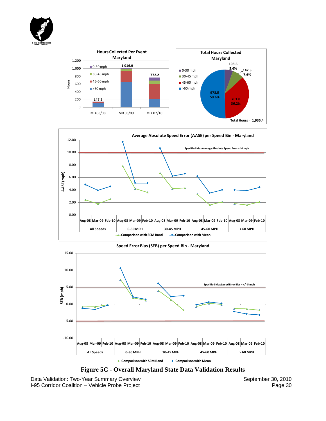







Data Validation: Two-Year Summary Overview September 30, 2010<br>
I-95 Corridor Coalition – Vehicle Probe Project Page 30 I-95 Corridor Coalition - Vehicle Probe Project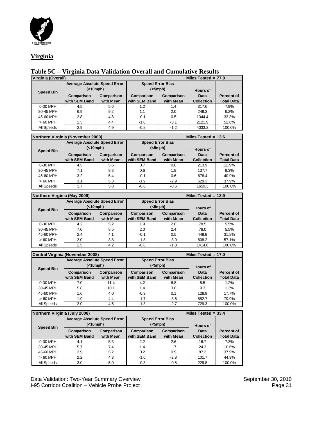

#### **Virginia**

### **Table 5C – Virginia Data Validation Overall and Cumulative Results**

| Virginia (Overall) |                                     |            |                         |               | Miles Tested = $77.9$ |                   |
|--------------------|-------------------------------------|------------|-------------------------|---------------|-----------------------|-------------------|
|                    | <b>Average Absolute Speed Error</b> |            | <b>Speed Error Bias</b> |               |                       |                   |
| <b>Speed Bin</b>   | ( <sub>10</sub> mph)                |            |                         | $(<5$ mph $)$ |                       |                   |
|                    | Comparison                          | Comparison | Comparison              | Comparison    | Data                  | Percent of        |
|                    | with SEM Band                       | with Mean  | with SEM Band           | with Mean     | <b>Collection</b>     | <b>Total Data</b> |
| 0-30 MPH           | 4.5                                 | 5.6        | 1.2                     | 1.4           | 317.6                 | 7.9%              |
| 30-45 MPH          | 6.9                                 | 9.2        | 1.1                     | 2.0           | 249.3                 | 6.2%              |
| 45-60 MPH          | 2.8                                 | 4.8        | $-0.1$                  | 0.5           | 1344.4                | 33.3%             |
| $>60$ MPH          | 2.3                                 | 4.4        | $-1.8$                  | $-3.1$        | 2121.9                | 52.6%             |
| All Speeds         | 2.9                                 | 4.9        | $-0.8$                  | $-1.2$        | 4033.2                | 100.0%            |

| Northern Virginia (November 2009) |                                     |            | Miles Tested = $13.6$   |            |                   |                   |  |
|-----------------------------------|-------------------------------------|------------|-------------------------|------------|-------------------|-------------------|--|
|                                   | <b>Average Absolute Speed Error</b> |            | <b>Speed Error Bias</b> |            |                   |                   |  |
| <b>Speed Bin</b>                  |                                     | (<10mph)   | $(<5$ mph $)$           |            | <b>Hours of</b>   |                   |  |
|                                   | Comparison                          | Comparison | Comparison              | Comparison | Data              | Percent of        |  |
|                                   | with SEM Band                       | with Mean  | with SEM Band           | with Mean  | <b>Collection</b> | <b>Total Data</b> |  |
| 0-30 MPH                          | 4.5                                 | 5.6        | 0.7                     | 0.8        | 213.9             | 12.9%             |  |
| 30-45 MPH                         | 7.1                                 | 9.8        | 0.6                     | 1.8        | 137.7             | 8.3%              |  |
| 45-60 MPH                         | 3.2                                 | 5.4        | $-0.1$                  | 0.6        | 678.4             | 40.9%             |  |
| $>60$ MPH                         | 3.1                                 | 5.3        | $-1.9$                  | $-2.9$     | 629.3             | 37.9%             |  |
| All Speeds                        | 3.7                                 | 5.8        | $-0.6$                  | $-0.6$     | 1659.3            | 100.0%            |  |

| Northern Virginia (May 2009) |                                     |            |                         |            | Miles Tested = $13.9$ |                   |
|------------------------------|-------------------------------------|------------|-------------------------|------------|-----------------------|-------------------|
|                              | <b>Average Absolute Speed Error</b> |            | <b>Speed Error Bias</b> |            |                       |                   |
| <b>Speed Bin</b>             | (<10mph)                            |            | (<5mph)                 |            | <b>Hours of</b>       |                   |
|                              | Comparison                          | Comparison | Comparison              | Comparison | Data                  | Percent of        |
|                              | with SEM Band                       | with Mean  | with SEM Band           | with Mean  | <b>Collection</b>     | <b>Total Data</b> |
| 0-30 MPH                     | 4.2                                 | 5.2        | 1.9                     | 2.0        | 78.5                  | 5.5%              |
| 30-45 MPH                    | 7.0                                 | 8.5        | 2.0                     | 2.4        | 78.0                  | 5.5%              |
| 45-60 MPH                    | 2.4                                 | 4.1        | $-0.1$                  | 0.5        | 449.9                 | 31.8%             |
| $>60$ MPH                    | 2.0                                 | 3.8        | $-1.8$                  | $-3.0$     | 808.2                 | 57.1%             |
| All Speeds                   | 2.5                                 | 4.2        | $-0.8$                  | $-1.3$     | 1414.6                | 100.0%            |

|                  | <b>Central Virginia (November 2008)</b> |                                     | Miles Tested = $17.0$ |                         |                   |                   |  |
|------------------|-----------------------------------------|-------------------------------------|-----------------------|-------------------------|-------------------|-------------------|--|
|                  |                                         | <b>Average Absolute Speed Error</b> |                       | <b>Speed Error Bias</b> |                   |                   |  |
|                  | ( <sub>10</sub> mph)                    |                                     | (<5mph)               |                         | <b>Hours of</b>   |                   |  |
| <b>Speed Bin</b> | Comparison                              | Comparison                          | Comparison            | Comparison              | Data              | <b>Percent of</b> |  |
|                  | with SEM Band                           | with Mean                           | with SEM Band         | with Mean               | <b>Collection</b> | <b>Total Data</b> |  |
| 0-30 MPH         | 7.0                                     | 11.4                                | 4.2                   | 6.8                     | 8.5               | 1.2%              |  |
| 30-45 MPH        | 5.8                                     | 10.1                                | 1.4                   | 3.6                     | 9.3               | 1.3%              |  |
| 45-60 MPH        | 1.6                                     | 4.0                                 | $-0.3$                | 0.1                     | 128.9             | 17.7%             |  |
| $>60$ MPH        | 1.9                                     | 4.4                                 | $-1.7$                | $-3.6$                  | 582.7             | 79.9%             |  |
| All Speeds       | 2.0                                     | 4.5                                 | $-1.3$                | $-2.7$                  | 729.3             | 100.0%            |  |

| Northern Virginia (July 2008) |                                     |            | Miles Tested = $33.4$   |            |                   |                   |  |
|-------------------------------|-------------------------------------|------------|-------------------------|------------|-------------------|-------------------|--|
|                               | <b>Average Absolute Speed Error</b> |            | <b>Speed Error Bias</b> |            |                   |                   |  |
| <b>Speed Bin</b>              | ( <sub>10</sub> mph)                |            | (<5mph)                 |            | <b>Hours of</b>   |                   |  |
|                               | Comparison                          | Comparison | Comparison              | Comparison | Data              | <b>Percent of</b> |  |
|                               | with SEM Band                       | with Mean  | with SEM Band           | with Mean  | <b>Collection</b> | <b>Total Data</b> |  |
| 0-30 MPH                      | 4.1                                 | 5.3        | 2.2                     | 2.6        | 16.7              | 7.3%              |  |
| 30-45 MPH                     | 5.7                                 | 7.4        | 1.4                     | 1.7        | 24.3              | 10.6%             |  |
| 45-60 MPH                     | 2.9                                 | 5.2        | 0.2                     | 0.9        | 87.2              | 37.9%             |  |
| $>60$ MPH                     | 2.2                                 | 4.3        | $-1.6$                  | $-2.8$     | 101.7             | 44.3%             |  |
| All Speeds                    | 3.0                                 | 5.0        | $-0.3$                  | $-0.5$     | 229.8             | 100.0%            |  |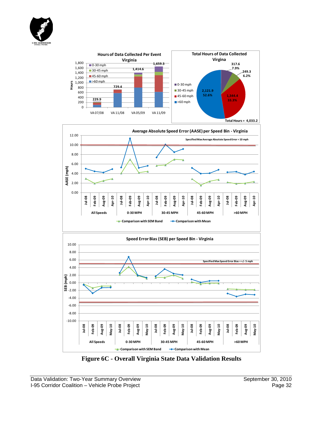





**Figure 6C - Overall Virginia State Data Validation Results**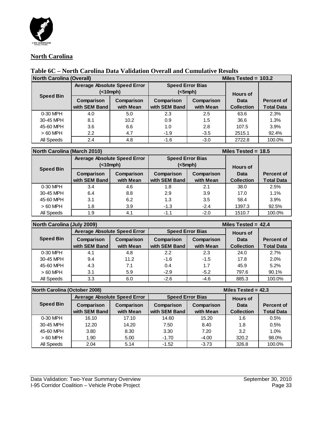

#### **North Carolina**

## **Table 6C – North Carolina Data Validation Overall and Cumulative Results**

| <b>North Carolina (Overall)</b> |                                          |                         | Miles Tested = $103.2$             |                         |                           |                                        |  |
|---------------------------------|------------------------------------------|-------------------------|------------------------------------|-------------------------|---------------------------|----------------------------------------|--|
|                                 | <b>Average Absolute Speed Error</b><br>( |                         | <b>Speed Error Bias</b><br>(<5mph) |                         | <b>Hours of</b>           |                                        |  |
| <b>Speed Bin</b>                | Comparison<br>with SEM Band              | Comparison<br>with Mean | Comparison<br>with SEM Band        | Comparison<br>with Mean | Data<br><b>Collection</b> | <b>Percent of</b><br><b>Total Data</b> |  |
| 0-30 MPH                        | 4.0                                      | 5.0                     | 2.3                                | 2.5                     | 63.6                      | 2.3%                                   |  |
| 30-45 MPH                       | 8.1                                      | 10.2                    | 0.9                                | 1.5                     | 36.6                      | 1.3%                                   |  |
| 45-60 MPH                       | 3.6                                      | 6.6                     | 1.0                                | 2.8                     | 107.5                     | 3.9%                                   |  |
| $>60$ MPH                       | $2.2\phantom{0}$                         | 4.7                     | $-1.9$                             | $-3.5$                  | 2515.1                    | 92.4%                                  |  |
| All Speeds                      | 2.4                                      | 4.8                     | $-1.6$                             | $-3.0$                  | 2722.8                    | 100.0%                                 |  |

#### **North Carolina (March 2010) Miles Tested = 18.5**

|                  | <b>Average Absolute Speed Error</b><br>( |                         | <b>Speed Error Bias</b><br>$(<5$ mph $)$ |                         | <b>Hours of</b>           |                                        |
|------------------|------------------------------------------|-------------------------|------------------------------------------|-------------------------|---------------------------|----------------------------------------|
| <b>Speed Bin</b> | Comparison<br>with SEM Band              | Comparison<br>with Mean | Comparison<br>with SEM Band              | Comparison<br>with Mean | Data<br><b>Collection</b> | <b>Percent of</b><br><b>Total Data</b> |
| 0-30 MPH         | 3.4                                      | 4.6                     | 1.8                                      | 2.1                     | 38.0                      | 2.5%                                   |
| 30-45 MPH        | 6.4                                      | 8.8                     | 2.9                                      | 3.9                     | 17.0                      | 1.1%                                   |
| 45-60 MPH        | 3.1                                      | 6.2                     | 1.3                                      | 3.5                     | 58.4                      | 3.9%                                   |
| $>60$ MPH        | 1.8                                      | 3.9                     | $-1.3$                                   | $-2.4$                  | 1397.3                    | 92.5%                                  |
| All Speeds       | 1.9                                      | 4.1                     | $-1.1$                                   | $-2.0$                  | 1510.7                    | 100.0%                                 |

| North Carolina (July 2009) |                                     |            |                         |            | Miles Tested = $42.4$ |                   |
|----------------------------|-------------------------------------|------------|-------------------------|------------|-----------------------|-------------------|
|                            | <b>Average Absolute Speed Error</b> |            | <b>Speed Error Bias</b> |            | <b>Hours of</b>       |                   |
| <b>Speed Bin</b>           | Comparison                          | Comparison | Comparison              | Comparison | Data                  | <b>Percent of</b> |
|                            | with SEM Band                       | with Mean  | with SEM Band           | with Mean  | <b>Collection</b>     | <b>Total Data</b> |
| 0-30 MPH                   | 4.1                                 | 4.8        | 2.2                     | 2.3        | 24.0                  | 2.7%              |
| 30-45 MPH                  | 9.4                                 | 11.2       | $-1.6$                  | $-1.5$     | 17.8                  | 2.0%              |
| 45-60 MPH                  | 4.3                                 | 7.1        | 0.4                     | 1.7        | 45.9                  | 5.2%              |
| $>60$ MPH                  | 3.1                                 | 5.9        | $-2.9$                  | $-5.2$     | 797.6                 | 90.1%             |
| All Speeds                 | 3.3                                 | 6.0        | $-2.6$                  | $-4.6$     | 885.3                 | 100.0%            |

| <b>North Carolina (October 2008)</b><br>Miles Tested = $42.3$ |                                     |            |                         |            |                   |                   |
|---------------------------------------------------------------|-------------------------------------|------------|-------------------------|------------|-------------------|-------------------|
|                                                               | <b>Average Absolute Speed Error</b> |            | <b>Speed Error Bias</b> |            | <b>Hours of</b>   |                   |
| <b>Speed Bin</b>                                              | Comparison                          | Comparison | Comparison              | Comparison | Data              | <b>Percent of</b> |
|                                                               | with SEM Band                       | with Mean  | with SEM Band           | with Mean  | <b>Collection</b> | <b>Total Data</b> |
| 0-30 MPH                                                      | 16.10                               | 17.10      | 14.60                   | 15.20      | 1.6               | 0.5%              |
| 30-45 MPH                                                     | 12.20                               | 14.20      | 7.50                    | 8.40       | 1.8               | 0.5%              |
| 45-60 MPH                                                     | 3.80                                | 8.30       | 3.30                    | 7.20       | 3.2               | 1.0%              |
| $>60$ MPH                                                     | 1.90                                | 5.00       | $-1.70$                 | $-4.00$    | 320.2             | 98.0%             |
| All Speeds                                                    | 2.04                                | 5.14       | $-1.52$                 | $-3.73$    | 326.8             | 100.0%            |